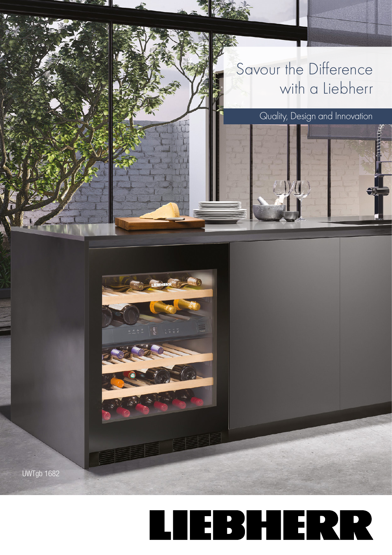

**UWTgb 1682** 

## Savour the Difference with a Liebherr

Quality, Design and Innovation